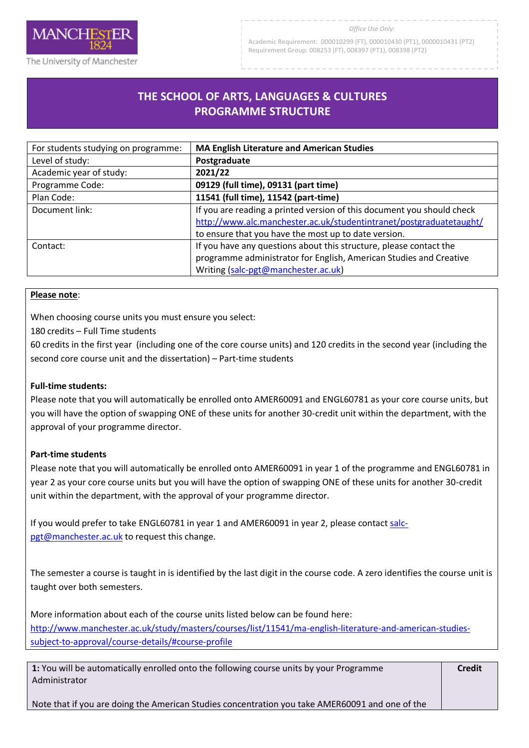

The University of Manchester

Academic Requirement: 000010299 (FT), 000010430 (PT1), 0000010431 (PT2) Requirement Group: 008253 (FT), 008397 (PT1), 008398 (PT2)

# **THE SCHOOL OF ARTS, LANGUAGES & CULTURES PROGRAMME STRUCTURE**

R

| For students studying on programme: | <b>MA English Literature and American Studies</b>                      |
|-------------------------------------|------------------------------------------------------------------------|
| Level of study:                     | Postgraduate                                                           |
| Academic year of study:             | 2021/22                                                                |
| Programme Code:                     | 09129 (full time), 09131 (part time)                                   |
| Plan Code:                          | 11541 (full time), 11542 (part-time)                                   |
| Document link:                      | If you are reading a printed version of this document you should check |
|                                     | http://www.alc.manchester.ac.uk/studentintranet/postgraduatetaught/    |
|                                     | to ensure that you have the most up to date version.                   |
| Contact:                            | If you have any questions about this structure, please contact the     |
|                                     | programme administrator for English, American Studies and Creative     |
|                                     | Writing (salc-pgt@manchester.ac.uk)                                    |

### **Please note**:

When choosing course units you must ensure you select:

180 credits – Full Time students

60 credits in the first year (including one of the core course units) and 120 credits in the second year (including the second core course unit and the dissertation) – Part-time students

### **Full-time students:**

Please note that you will automatically be enrolled onto AMER60091 and ENGL60781 as your core course units, but you will have the option of swapping ONE of these units for another 30-credit unit within the department, with the approval of your programme director.

### **Part-time students**

Please note that you will automatically be enrolled onto AMER60091 in year 1 of the programme and ENGL60781 in year 2 as your core course units but you will have the option of swapping ONE of these units for another 30-credit unit within the department, with the approval of your programme director.

If you would prefer to take ENGL60781 in year 1 and AMER60091 in year 2, please contact [salc](mailto:salc-pgt@manchester.ac.uk)[pgt@manchester.ac.uk](mailto:salc-pgt@manchester.ac.uk) to request this change.

The semester a course is taught in is identified by the last digit in the course code. A zero identifies the course unit is taught over both semesters.

More information about each of the course units listed below can be found here: [http://www.manchester.ac.uk/study/masters/courses/list/11541/ma-english-literature-and-american-studies](http://www.manchester.ac.uk/study/masters/courses/list/11541/ma-english-literature-and-american-studies-subject-to-approval/course-details/#course-profile)[subject-to-approval/course-details/#course-profile](http://www.manchester.ac.uk/study/masters/courses/list/11541/ma-english-literature-and-american-studies-subject-to-approval/course-details/#course-profile)

**1:** You will be automatically enrolled onto the following course units by your Programme Administrator

**Credit**

Note that if you are doing the American Studies concentration you take AMER60091 and one of the